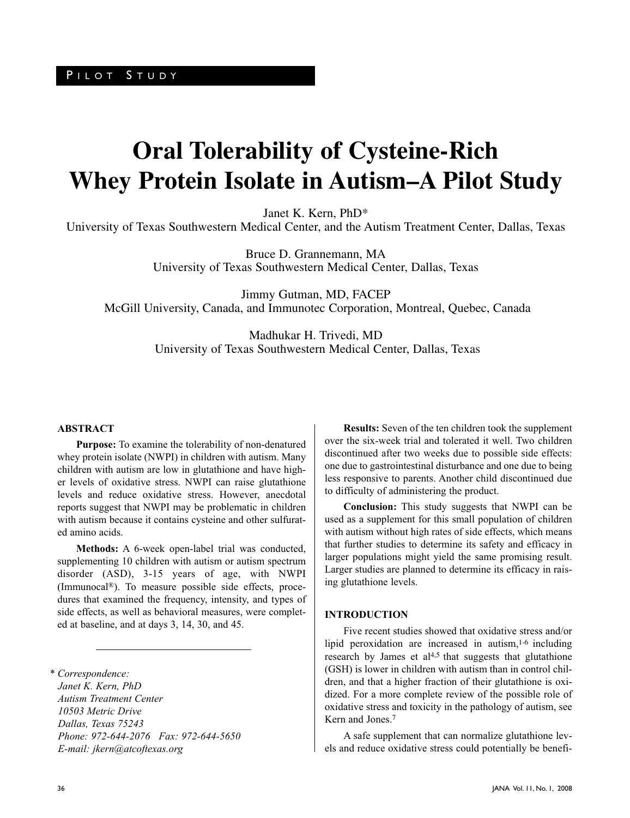# **Oral Tolerability of Cysteine-Rich Whey Protein Isolate in Autism–A Pilot Study**

Janet K. Kern, PhD\*

University of Texas Southwestern Medical Center, and the Autism Treatment Center, Dallas, Texas

Bruce D. Grannemann, MA University of Texas Southwestern Medical Center, Dallas, Texas

Jimmy Gutman, MD, FACEP McGill University, Canada, and Immunotec Corporation, Montreal, Quebec, Canada

> Madhukar H. Trivedi, MD University of Texas Southwestern Medical Center, Dallas, Texas

#### **ABSTRACT**

**Purpose:** To examine the tolerability of non-denatured whey protein isolate (NWPI) in children with autism. Many children with autism are low in glutathione and have higher levels of oxidative stress. NWPI can raise glutathione levels and reduce oxidative stress. However, anecdotal reports suggest that NWPI may be problematic in children with autism because it contains cysteine and other sulfurated amino acids.

**Methods:** A 6-week open-label trial was conducted, supplementing 10 children with autism or autism spectrum disorder (ASD), 3-15 years of age, with NWPI (Immunocal®). To measure possible side effects, procedures that examined the frequency, intensity, and types of side effects, as well as behavioral measures, were completed at baseline, and at days 3, 14, 30, and 45.

*\* Correspondence: Janet K. Kern, PhD Autism Treatment Center 10503 Metric Drive Dallas, Texas 75243 Phone: 972-644-2076 Fax: 972-644-5650 E-mail: jkern@atcoftexas.org*

**Results:** Seven of the ten children took the supplement over the six-week trial and tolerated it well. Two children discontinued after two weeks due to possible side effects: one due to gastrointestinal disturbance and one due to being less responsive to parents. Another child discontinued due to difficulty of administering the product.

**Conclusion:** This study suggests that NWPI can be used as a supplement for this small population of children with autism without high rates of side effects, which means that further studies to determine its safety and efficacy in larger populations might yield the same promising result. Larger studies are planned to determine its efficacy in raising glutathione levels.

### **INTRODUCTION**

Five recent studies showed that oxidative stress and/or lipid peroxidation are increased in autism,<sup>1-6</sup> including research by James et al<sup>4,5</sup> that suggests that glutathione (GSH) is lower in children with autism than in control children, and that a higher fraction of their glutathione is oxidized. For a more complete review of the possible role of oxidative stress and toxicity in the pathology of autism, see Kern and Jones.<sup>7</sup>

A safe supplement that can normalize glutathione levels and reduce oxidative stress could potentially be benefi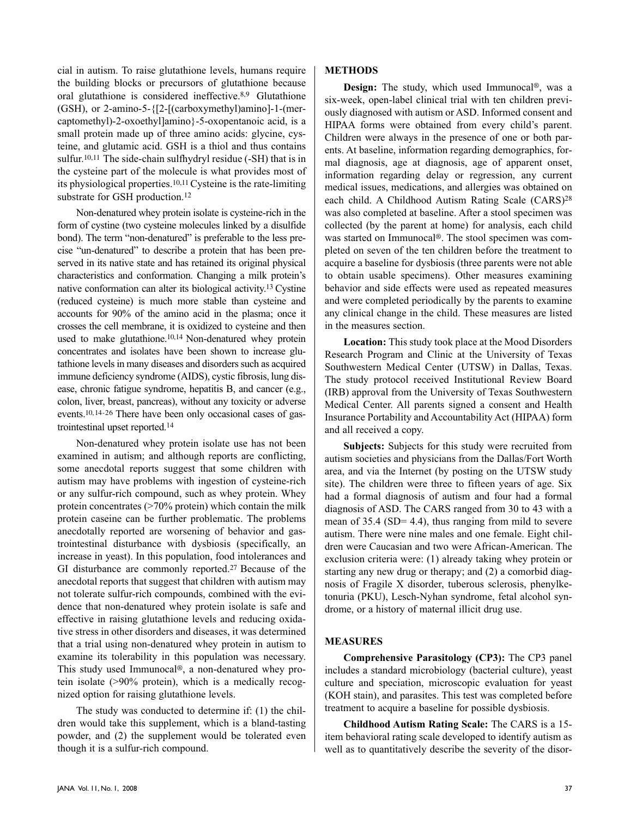cial in autism. To raise glutathione levels, humans require the building blocks or precursors of glutathione because oral glutathione is considered ineffective.8,9 Glutathione (GSH), or 2-amino-5-{[2-[(carboxymethyl)amino]-1-(mercaptomethyl)-2-oxoethyl]amino}-5-oxopentanoic acid, is a small protein made up of three amino acids: glycine, cysteine, and glutamic acid. GSH is a thiol and thus contains sulfur.<sup>10,11</sup> The side-chain sulfhydryl residue (-SH) that is in the cysteine part of the molecule is what provides most of its physiological properties.10,11 Cysteine is the rate-limiting substrate for GSH production.<sup>12</sup>

Non-denatured whey protein isolate is cysteine-rich in the form of cystine (two cysteine molecules linked by a disulfide bond). The term "non-denatured" is preferable to the less precise "un-denatured" to describe a protein that has been preserved in its native state and has retained its original physical characteristics and conformation. Changing a milk protein's native conformation can alter its biological activity.<sup>13</sup> Cystine (reduced cysteine) is much more stable than cysteine and accounts for 90% of the amino acid in the plasma; once it crosses the cell membrane, it is oxidized to cysteine and then used to make glutathione.10,14 Non-denatured whey protein concentrates and isolates have been shown to increase glutathione levels in many diseases and disorders such as acquired immune deficiency syndrome (AIDS), cystic fibrosis, lung disease, chronic fatigue syndrome, hepatitis B, and cancer (e.g., colon, liver, breast, pancreas), without any toxicity or adverse events.10,14-26 There have been only occasional cases of gastrointestinal upset reported.<sup>1</sup><sup>4</sup>

Non-denatured whey protein isolate use has not been examined in autism; and although reports are conflicting, some anecdotal reports suggest that some children with autism may have problems with ingestion of cysteine-rich or any sulfur-rich compound, such as whey protein. Whey protein concentrates  $($ >70% protein) which contain the milk protein caseine can be further problematic. The problems anecdotally reported are worsening of behavior and gastrointestinal disturbance with dysbiosis (specifically, an increase in yeast). In this population, food intolerances and GI disturbance are commonly reported.<sup>27</sup> Because of the anecdotal reports that suggest that children with autism may not tolerate sulfur-rich compounds, combined with the evidence that non-denatured whey protein isolate is safe and effective in raising glutathione levels and reducing oxidative stress in other disorders and diseases, it was determined that a trial using non-denatured whey protein in autism to examine its tolerability in this population was necessary. This study used Immunocal®, a non-denatured whey protein isolate (>90% protein), which is a medically recognized option for raising glutathione levels.

The study was conducted to determine if: (1) the children would take this supplement, which is a bland-tasting powder, and (2) the supplement would be tolerated even though it is a sulfur-rich compound.

# **METHODS**

**Design:** The study, which used Immunocal®, was a six-week, open-label clinical trial with ten children previously diagnosed with autism or ASD. Informed consent and HIPAA forms were obtained from every child's parent. Children were always in the presence of one or both parents. At baseline, information regarding demographics, formal diagnosis, age at diagnosis, age of apparent onset, information regarding delay or regression, any current medical issues, medications, and allergies was obtained on each child. A Childhood Autism Rating Scale (CARS)28 was also completed at baseline. After a stool specimen was collected (by the parent at home) for analysis, each child was started on Immunocal®. The stool specimen was completed on seven of the ten children before the treatment to acquire a baseline for dysbiosis (three parents were not able to obtain usable specimens). Other measures examining behavior and side effects were used as repeated measures and were completed periodically by the parents to examine any clinical change in the child. These measures are listed in the measures section.

**Location:** This study took place at the Mood Disorders Research Program and Clinic at the University of Texas Southwestern Medical Center (UTSW) in Dallas, Texas. The study protocol received Institutional Review Board (IRB) approval from the University of Texas Southwestern Medical Center. All parents signed a consent and Health Insurance Portability and Accountability Act (HIPAA) form and all received a copy.

**Subjects:** Subjects for this study were recruited from autism societies and physicians from the Dallas/Fort Worth area, and via the Internet (by posting on the UTSW study site). The children were three to fifteen years of age. Six had a formal diagnosis of autism and four had a formal diagnosis of ASD. The CARS ranged from 30 to 43 with a mean of 35.4 (SD= 4.4), thus ranging from mild to severe autism. There were nine males and one female. Eight children were Caucasian and two were African-American. The exclusion criteria were: (1) already taking whey protein or starting any new drug or therapy; and (2) a comorbid diagnosis of Fragile X disorder, tuberous sclerosis, phenylketonuria (PKU), Lesch-Nyhan syndrome, fetal alcohol syndrome, or a history of maternal illicit drug use.

# **MEASURES**

**Comprehensive Parasitology (CP3):** The CP3 panel includes a standard microbiology (bacterial culture), yeast culture and speciation, microscopic evaluation for yeast (KOH stain), and parasites. This test was completed before treatment to acquire a baseline for possible dysbiosis.

**Childhood Autism Rating Scale:** The CARS is a 15 item behavioral rating scale developed to identify autism as well as to quantitatively describe the severity of the disor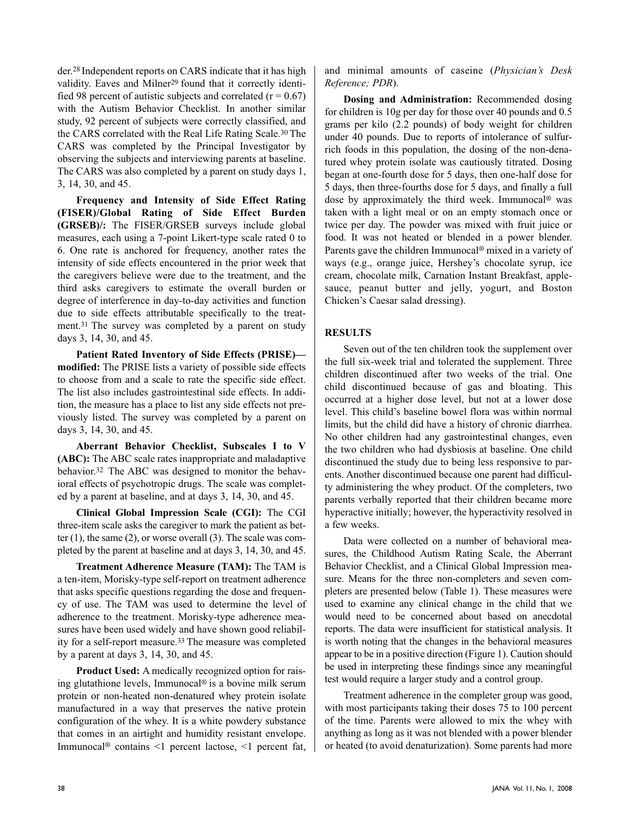der.<sup>28</sup> Independent reports on CARS indicate that it has high validity. Eaves and Milner<sup>29</sup> found that it correctly identified 98 percent of autistic subjects and correlated  $(r = 0.67)$ with the Autism Behavior Checklist. In another similar study, 92 percent of subjects were correctly classified, and the CARS correlated with the Real Life Rating Scale.<sup>30</sup>The CARS was completed by the Principal Investigator by observing the subjects and interviewing parents at baseline. The CARS was also completed by a parent on study days 1, 3, 14, 30, and 45.

**Frequency and Intensity of Side Effect Rating (FISER)/Global Rating of Side Effect Burden (GRSEB)/:** The FISER/GRSEB surveys include global measures, each using a 7-point Likert-type scale rated 0 to 6. One rate is anchored for frequency, another rates the intensity of side effects encountered in the prior week that the caregivers believe were due to the treatment, and the third asks caregivers to estimate the overall burden or degree of interference in day-to-day activities and function due to side effects attributable specifically to the treatment.<sup>31</sup> The survey was completed by a parent on study days 3, 14, 30, and 45.

**Patient Rated Inventory of Side Effects (PRISE) modified:** The PRISE lists a variety of possible side effects to choose from and a scale to rate the specific side effect. The list also includes gastrointestinal side effects. In addition, the measure has a place to list any side effects not previously listed. The survey was completed by a parent on days 3, 14, 30, and 45.

**Aberrant Behavior Checklist, Subscales I to V (ABC):** The ABC scale rates inappropriate and maladaptive behavior.32 The ABC was designed to monitor the behavioral effects of psychotropic drugs. The scale was completed by a parent at baseline, and at days 3, 14, 30, and 45.

**Clinical Global Impression Scale (CGI):** The CGI three-item scale asks the caregiver to mark the patient as better (1), the same (2), or worse overall (3). The scale was completed by the parent at baseline and at days 3, 14, 30, and 45.

**Treatment Adherence Measure (TAM):** The TAM is a ten-item, Morisky-type self-report on treatment adherence that asks specific questions regarding the dose and frequency of use. The TAM was used to determine the level of adherence to the treatment. Morisky-type adherence measures have been used widely and have shown good reliability for a self-report measure.<sup>33</sup>The measure was completed by a parent at days 3, 14, 30, and 45.

**Product Used:** A medically recognized option for raising glutathione levels, Immunocal® is a bovine milk serum protein or non-heated non-denatured whey protein isolate manufactured in a way that preserves the native protein configuration of the whey. It is a white powdery substance that comes in an airtight and humidity resistant envelope. Immunocal® contains <1 percent lactose, <1 percent fat,

and minimal amounts of caseine (*Physician's Desk Reference; PDR*).

**Dosing and Administration:** Recommended dosing for children is 10g per day for those over 40 pounds and 0.5 grams per kilo (2.2 pounds) of body weight for children under 40 pounds. Due to reports of intolerance of sulfurrich foods in this population, the dosing of the non-denatured whey protein isolate was cautiously titrated. Dosing began at one-fourth dose for 5 days, then one-half dose for 5 days, then three-fourths dose for 5 days, and finally a full dose by approximately the third week. Immunocal® was taken with a light meal or on an empty stomach once or twice per day. The powder was mixed with fruit juice or food. It was not heated or blended in a power blender. Parents gave the children Immunocal® mixed in a variety of ways (e.g., orange juice, Hershey's chocolate syrup, ice cream, chocolate milk, Carnation Instant Breakfast, applesauce, peanut butter and jelly, yogurt, and Boston Chicken's Caesar salad dressing).

# **RESULTS**

Seven out of the ten children took the supplement over the full six-week trial and tolerated the supplement. Three children discontinued after two weeks of the trial. One child discontinued because of gas and bloating. This occurred at a higher dose level, but not at a lower dose level. This child's baseline bowel flora was within normal limits, but the child did have a history of chronic diarrhea. No other children had any gastrointestinal changes, even the two children who had dysbiosis at baseline. One child discontinued the study due to being less responsive to parents. Another discontinued because one parent had difficulty administering the whey product. Of the completers, two parents verbally reported that their children became more hyperactive initially; however, the hyperactivity resolved in a few weeks.

Data were collected on a number of behavioral measures, the Childhood Autism Rating Scale, the Aberrant Behavior Checklist, and a Clinical Global Impression measure. Means for the three non-completers and seven completers are presented below (Table 1). These measures were used to examine any clinical change in the child that we would need to be concerned about based on anecdotal reports. The data were insufficient for statistical analysis. It is worth noting that the changes in the behavioral measures appear to be in a positive direction (Figure 1). Caution should be used in interpreting these findings since any meaningful test would require a larger study and a control group.

Treatment adherence in the completer group was good, with most participants taking their doses 75 to 100 percent of the time. Parents were allowed to mix the whey with anything as long as it was not blended with a power blender or heated (to avoid denaturization). Some parents had more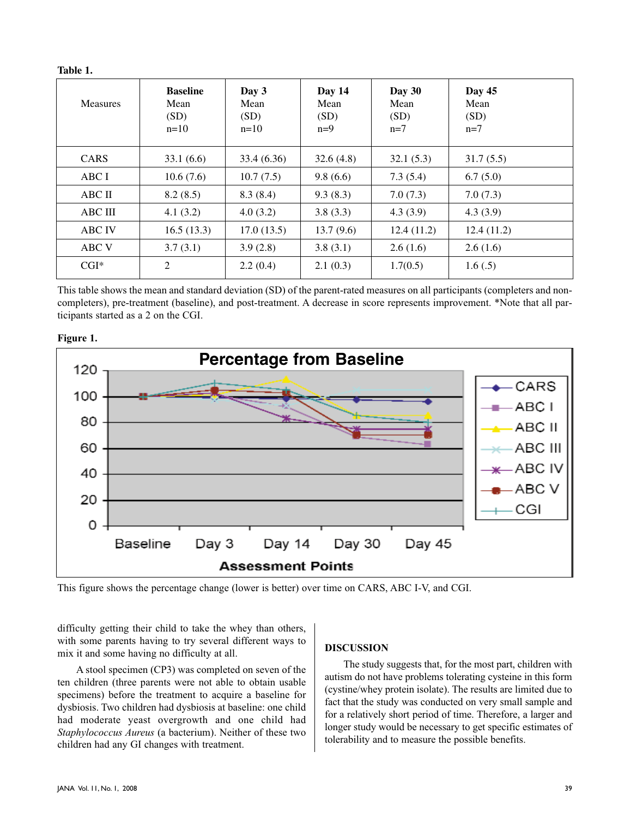**Table 1.**

| <b>Measures</b> | <b>Baseline</b><br>Mean<br>(SD)<br>$n=10$ | Day 3<br>Mean<br>(SD)<br>$n=10$ | Day 14<br>Mean<br>(SD)<br>$n=9$ | Day 30<br>Mean<br>(SD)<br>$n=7$ | Day 45<br>Mean<br>(SD)<br>$n=7$ |
|-----------------|-------------------------------------------|---------------------------------|---------------------------------|---------------------------------|---------------------------------|
| <b>CARS</b>     | 33.1(6.6)                                 | 33.4 (6.36)                     | 32.6(4.8)                       | 32.1(5.3)                       | 31.7(5.5)                       |
| ABC I           | 10.6(7.6)                                 | 10.7(7.5)                       | 9.8(6.6)                        | 7.3(5.4)                        | 6.7(5.0)                        |
| ABC II          | 8.2(8.5)                                  | 8.3(8.4)                        | 9.3(8.3)                        | 7.0(7.3)                        | 7.0(7.3)                        |
| <b>ABC III</b>  | 4.1(3.2)                                  | 4.0(3.2)                        | 3.8(3.3)                        | 4.3(3.9)                        | 4.3(3.9)                        |
| <b>ABC IV</b>   | 16.5(13.3)                                | 17.0(13.5)                      | 13.7(9.6)                       | 12.4(11.2)                      | 12.4(11.2)                      |
| ABC V           | 3.7(3.1)                                  | 3.9(2.8)                        | 3.8(3.1)                        | 2.6(1.6)                        | 2.6(1.6)                        |
| $CGI^*$         | 2                                         | 2.2(0.4)                        | 2.1(0.3)                        | 1.7(0.5)                        | 1.6(.5)                         |

This table shows the mean and standard deviation (SD) of the parent-rated measures on all participants (completers and noncompleters), pre-treatment (baseline), and post-treatment. A decrease in score represents improvement. \*Note that all participants started as a 2 on the CGI.





This figure shows the percentage change (lower is better) over time on CARS, ABC I-V, and CGI.

difficulty getting their child to take the whey than others, with some parents having to try several different ways to mix it and some having no difficulty at all.

A stool specimen (CP3) was completed on seven of the ten children (three parents were not able to obtain usable specimens) before the treatment to acquire a baseline for dysbiosis. Two children had dysbiosis at baseline: one child had moderate yeast overgrowth and one child had *Staphylococcus Aureus* (a bacterium). Neither of these two children had any GI changes with treatment.

#### **DISCUSSION**

The study suggests that, for the most part, children with autism do not have problems tolerating cysteine in this form (cystine/whey protein isolate). The results are limited due to fact that the study was conducted on very small sample and for a relatively short period of time. Therefore, a larger and longer study would be necessary to get specific estimates of tolerability and to measure the possible benefits.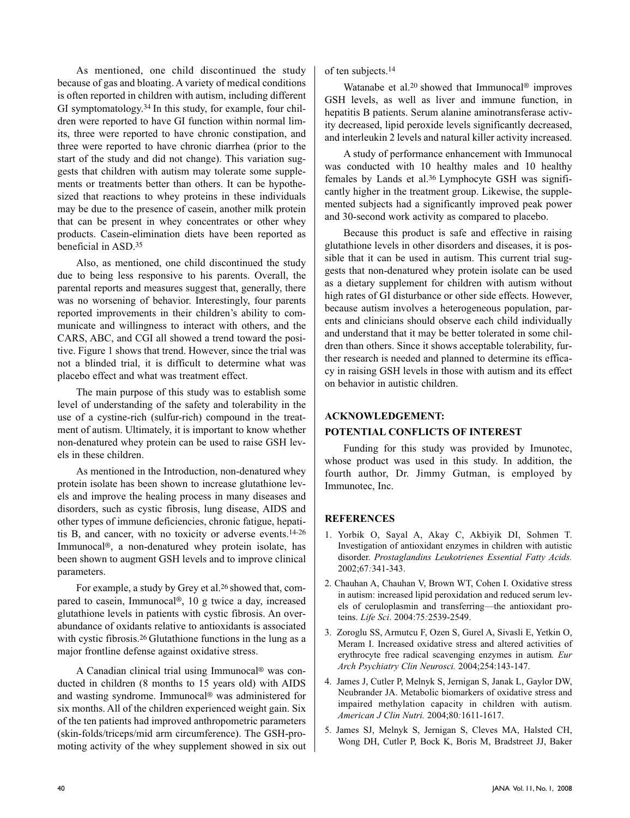As mentioned, one child discontinued the study because of gas and bloating. A variety of medical conditions is often reported in children with autism, including different GI symptomatology.34 In this study, for example, four children were reported to have GI function within normal limits, three were reported to have chronic constipation, and three were reported to have chronic diarrhea (prior to the start of the study and did not change). This variation suggests that children with autism may tolerate some supplements or treatments better than others. It can be hypothesized that reactions to whey proteins in these individuals may be due to the presence of casein, another milk protein that can be present in whey concentrates or other whey products. Casein-elimination diets have been reported as beneficial in ASD.<sup>35</sup>

Also, as mentioned, one child discontinued the study due to being less responsive to his parents. Overall, the parental reports and measures suggest that, generally, there was no worsening of behavior. Interestingly, four parents reported improvements in their children's ability to communicate and willingness to interact with others, and the CARS, ABC, and CGI all showed a trend toward the positive. Figure 1 shows that trend. However, since the trial was not a blinded trial, it is difficult to determine what was placebo effect and what was treatment effect.

The main purpose of this study was to establish some level of understanding of the safety and tolerability in the use of a cystine-rich (sulfur-rich) compound in the treatment of autism. Ultimately, it is important to know whether non-denatured whey protein can be used to raise GSH levels in these children.

As mentioned in the Introduction, non-denatured whey protein isolate has been shown to increase glutathione levels and improve the healing process in many diseases and disorders, such as cystic fibrosis, lung disease, AIDS and other types of immune deficiencies, chronic fatigue, hepatitis B, and cancer, with no toxicity or adverse events.14-26 Immunocal®, a non-denatured whey protein isolate, has been shown to augment GSH levels and to improve clinical parameters.

For example, a study by Grey et al.26 showed that, compared to casein, Immunocal®, 10 g twice a day, increased glutathione levels in patients with cystic fibrosis. An overabundance of oxidants relative to antioxidants is associated with cystic fibrosis.<sup>26</sup> Glutathione functions in the lung as a major frontline defense against oxidative stress.

A Canadian clinical trial using Immunocal® was conducted in children (8 months to 15 years old) with AIDS and wasting syndrome. Immunocal® was administered for six months. All of the children experienced weight gain. Six of the ten patients had improved anthropometric parameters (skin-folds/triceps/mid arm circumference). The GSH-promoting activity of the whey supplement showed in six out of ten subjects.<sup>14</sup>

Watanabe et al.<sup>20</sup> showed that Immunocal<sup>®</sup> improves GSH levels, as well as liver and immune function, in hepatitis B patients. Serum alanine aminotransferase activity decreased, lipid peroxide levels significantly decreased, and interleukin 2 levels and natural killer activity increased.

A study of performance enhancement with Immunocal was conducted with 10 healthy males and 10 healthy females by Lands et al.36 Lymphocyte GSH was significantly higher in the treatment group. Likewise, the supplemented subjects had a significantly improved peak power and 30-second work activity as compared to placebo.

Because this product is safe and effective in raising glutathione levels in other disorders and diseases, it is possible that it can be used in autism. This current trial suggests that non-denatured whey protein isolate can be used as a dietary supplement for children with autism without high rates of GI disturbance or other side effects. However, because autism involves a heterogeneous population, parents and clinicians should observe each child individually and understand that it may be better tolerated in some children than others. Since it shows acceptable tolerability, further research is needed and planned to determine its efficacy in raising GSH levels in those with autism and its effect on behavior in autistic children.

# **ACKNOWLEDGEMENT:**

# **POTENTIAL CONFLICTS OF INTEREST**

Funding for this study was provided by Imunotec, whose product was used in this study. In addition, the fourth author, Dr. Jimmy Gutman, is employed by Immunotec, Inc.

# **REFERENCES**

- 1. Yorbik O, Sayal A, Akay C, Akbiyik DI, Sohmen T. Investigation of antioxidant enzymes in children with autistic disorder. *Prostaglandins Leukotrienes Essential Fatty Acids.* 2002;67*:*341-343.
- 2. Chauhan A, Chauhan V, Brown WT, Cohen I. Oxidative stress in autism: increased lipid peroxidation and reduced serum levels of ceruloplasmin and transferring—the antioxidant proteins. *Life Sci*. 2004:75*:*2539-2549.
- 3. Zoroglu SS, Armutcu F, Ozen S, Gurel A, Sivasli E, Yetkin O, Meram I. Increased oxidative stress and altered activities of erythrocyte free radical scavenging enzymes in autism*. Eur Arch Psychiatry Clin Neurosci.* 2004;254:143-147.
- 4. James J, Cutler P, Melnyk S, Jernigan S, Janak L, Gaylor DW, Neubrander JA. Metabolic biomarkers of oxidative stress and impaired methylation capacity in children with autism. *American J Clin Nutri.* 2004;80*:*1611-1617.
- 5. James SJ, Melnyk S, Jernigan S, Cleves MA, Halsted CH, Wong DH, Cutler P, Bock K, Boris M, Bradstreet JJ, Baker